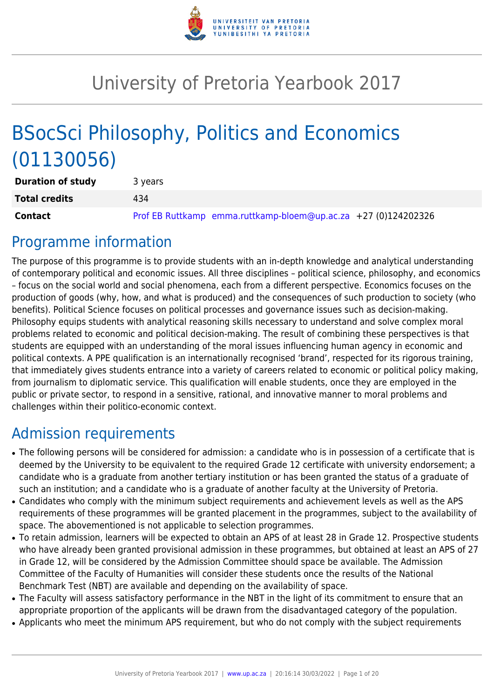

# University of Pretoria Yearbook 2017

# BSocSci Philosophy, Politics and Economics (01130056)

| <b>Duration of study</b> | 3 years                                                        |
|--------------------------|----------------------------------------------------------------|
| <b>Total credits</b>     | 434                                                            |
| Contact                  | Prof EB Ruttkamp emma.ruttkamp-bloem@up.ac.za +27 (0)124202326 |

## Programme information

The purpose of this programme is to provide students with an in-depth knowledge and analytical understanding of contemporary political and economic issues. All three disciplines – political science, philosophy, and economics – focus on the social world and social phenomena, each from a different perspective. Economics focuses on the production of goods (why, how, and what is produced) and the consequences of such production to society (who benefits). Political Science focuses on political processes and governance issues such as decision-making. Philosophy equips students with analytical reasoning skills necessary to understand and solve complex moral problems related to economic and political decision-making. The result of combining these perspectives is that students are equipped with an understanding of the moral issues influencing human agency in economic and political contexts. A PPE qualification is an internationally recognised 'brand', respected for its rigorous training, that immediately gives students entrance into a variety of careers related to economic or political policy making, from journalism to diplomatic service. This qualification will enable students, once they are employed in the public or private sector, to respond in a sensitive, rational, and innovative manner to moral problems and challenges within their politico-economic context.

## Admission requirements

- The following persons will be considered for admission: a candidate who is in possession of a certificate that is deemed by the University to be equivalent to the required Grade 12 certificate with university endorsement; a candidate who is a graduate from another tertiary institution or has been granted the status of a graduate of such an institution; and a candidate who is a graduate of another faculty at the University of Pretoria.
- Candidates who comply with the minimum subject requirements and achievement levels as well as the APS requirements of these programmes will be granted placement in the programmes, subject to the availability of space. The abovementioned is not applicable to selection programmes.
- To retain admission, learners will be expected to obtain an APS of at least 28 in Grade 12. Prospective students who have already been granted provisional admission in these programmes, but obtained at least an APS of 27 in Grade 12, will be considered by the Admission Committee should space be available. The Admission Committee of the Faculty of Humanities will consider these students once the results of the National Benchmark Test (NBT) are available and depending on the availability of space.
- The Faculty will assess satisfactory performance in the NBT in the light of its commitment to ensure that an appropriate proportion of the applicants will be drawn from the disadvantaged category of the population.
- Applicants who meet the minimum APS requirement, but who do not comply with the subject requirements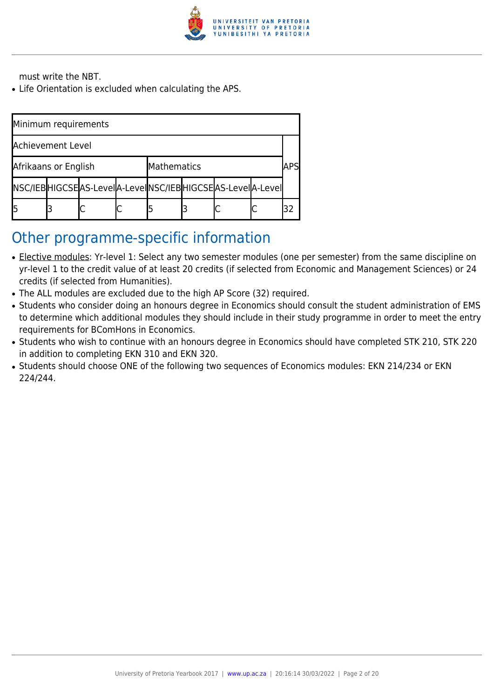

must write the NBT.

• Life Orientation is excluded when calculating the APS.

| Minimum requirements |  |                                                          |  |             |  |  |     |  |
|----------------------|--|----------------------------------------------------------|--|-------------|--|--|-----|--|
| Achievement Level    |  |                                                          |  |             |  |  |     |  |
| Afrikaans or English |  |                                                          |  | Mathematics |  |  | ΔΡϚ |  |
|                      |  | NSC/IEBHIGCSEAS-LevelA-LevelNSC/IEBHIGCSEAS-LevelA-Level |  |             |  |  |     |  |
|                      |  |                                                          |  |             |  |  |     |  |

## Other programme-specific information

- Elective modules: Yr-level 1: Select any two semester modules (one per semester) from the same discipline on yr-level 1 to the credit value of at least 20 credits (if selected from Economic and Management Sciences) or 24 credits (if selected from Humanities).
- The ALL modules are excluded due to the high AP Score (32) required.
- Students who consider doing an honours degree in Economics should consult the student administration of EMS to determine which additional modules they should include in their study programme in order to meet the entry requirements for BComHons in Economics.
- Students who wish to continue with an honours degree in Economics should have completed STK 210, STK 220 in addition to completing EKN 310 and EKN 320.
- Students should choose ONE of the following two sequences of Economics modules: EKN 214/234 or EKN 224/244.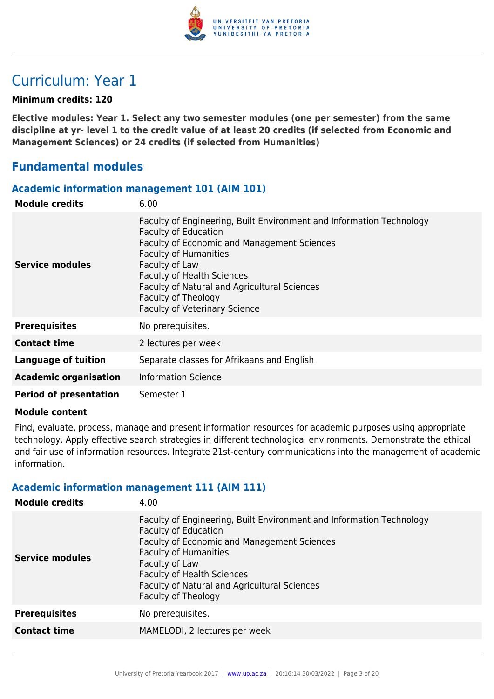

## Curriculum: Year 1

## **Minimum credits: 120**

**Elective modules: Year 1. Select any two semester modules (one per semester) from the same discipline at yr- level 1 to the credit value of at least 20 credits (if selected from Economic and Management Sciences) or 24 credits (if selected from Humanities)**

## **Fundamental modules**

### **Academic information management 101 (AIM 101)**

| <b>Module credits</b>         | 6.00                                                                                                                                                                                                                                                                                                                                                     |
|-------------------------------|----------------------------------------------------------------------------------------------------------------------------------------------------------------------------------------------------------------------------------------------------------------------------------------------------------------------------------------------------------|
| Service modules               | Faculty of Engineering, Built Environment and Information Technology<br><b>Faculty of Education</b><br>Faculty of Economic and Management Sciences<br><b>Faculty of Humanities</b><br>Faculty of Law<br><b>Faculty of Health Sciences</b><br>Faculty of Natural and Agricultural Sciences<br>Faculty of Theology<br><b>Faculty of Veterinary Science</b> |
| <b>Prerequisites</b>          | No prerequisites.                                                                                                                                                                                                                                                                                                                                        |
| <b>Contact time</b>           | 2 lectures per week                                                                                                                                                                                                                                                                                                                                      |
| Language of tuition           | Separate classes for Afrikaans and English                                                                                                                                                                                                                                                                                                               |
| <b>Academic organisation</b>  | <b>Information Science</b>                                                                                                                                                                                                                                                                                                                               |
| <b>Period of presentation</b> | Semester 1                                                                                                                                                                                                                                                                                                                                               |

#### **Module content**

Find, evaluate, process, manage and present information resources for academic purposes using appropriate technology. Apply effective search strategies in different technological environments. Demonstrate the ethical and fair use of information resources. Integrate 21st-century communications into the management of academic information.

## **Academic information management 111 (AIM 111)**

| <b>Module credits</b>  | 4.00                                                                                                                                                                                                                                                                                                                    |
|------------------------|-------------------------------------------------------------------------------------------------------------------------------------------------------------------------------------------------------------------------------------------------------------------------------------------------------------------------|
| <b>Service modules</b> | Faculty of Engineering, Built Environment and Information Technology<br><b>Faculty of Education</b><br><b>Faculty of Economic and Management Sciences</b><br><b>Faculty of Humanities</b><br>Faculty of Law<br><b>Faculty of Health Sciences</b><br>Faculty of Natural and Agricultural Sciences<br>Faculty of Theology |
| <b>Prerequisites</b>   | No prerequisites.                                                                                                                                                                                                                                                                                                       |
| <b>Contact time</b>    | MAMELODI, 2 lectures per week                                                                                                                                                                                                                                                                                           |
|                        |                                                                                                                                                                                                                                                                                                                         |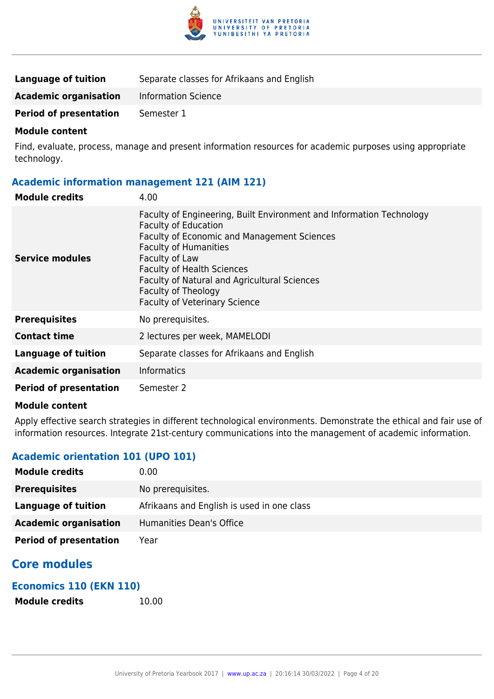

| Language of tuition           | Separate classes for Afrikaans and English |
|-------------------------------|--------------------------------------------|
| <b>Academic organisation</b>  | Information Science                        |
| <b>Period of presentation</b> | Semester 1                                 |

Find, evaluate, process, manage and present information resources for academic purposes using appropriate technology.

## **Academic information management 121 (AIM 121)**

| <b>Module credits</b>         | 4.00                                                                                                                                                                                                                                                                                                                                                            |
|-------------------------------|-----------------------------------------------------------------------------------------------------------------------------------------------------------------------------------------------------------------------------------------------------------------------------------------------------------------------------------------------------------------|
| Service modules               | Faculty of Engineering, Built Environment and Information Technology<br><b>Faculty of Education</b><br><b>Faculty of Economic and Management Sciences</b><br><b>Faculty of Humanities</b><br>Faculty of Law<br><b>Faculty of Health Sciences</b><br>Faculty of Natural and Agricultural Sciences<br>Faculty of Theology<br><b>Faculty of Veterinary Science</b> |
| <b>Prerequisites</b>          | No prerequisites.                                                                                                                                                                                                                                                                                                                                               |
| <b>Contact time</b>           | 2 lectures per week, MAMELODI                                                                                                                                                                                                                                                                                                                                   |
| <b>Language of tuition</b>    | Separate classes for Afrikaans and English                                                                                                                                                                                                                                                                                                                      |
| <b>Academic organisation</b>  | <b>Informatics</b>                                                                                                                                                                                                                                                                                                                                              |
| <b>Period of presentation</b> | Semester 2                                                                                                                                                                                                                                                                                                                                                      |

#### **Module content**

Apply effective search strategies in different technological environments. Demonstrate the ethical and fair use of information resources. Integrate 21st-century communications into the management of academic information.

## **Academic orientation 101 (UPO 101)**

| <b>Module credits</b>         | 0.00                                       |
|-------------------------------|--------------------------------------------|
| <b>Prerequisites</b>          | No prerequisites.                          |
| Language of tuition           | Afrikaans and English is used in one class |
| <b>Academic organisation</b>  | Humanities Dean's Office                   |
| <b>Period of presentation</b> | Year                                       |

## **Core modules**

## **Economics 110 (EKN 110)**

**Module credits** 10.00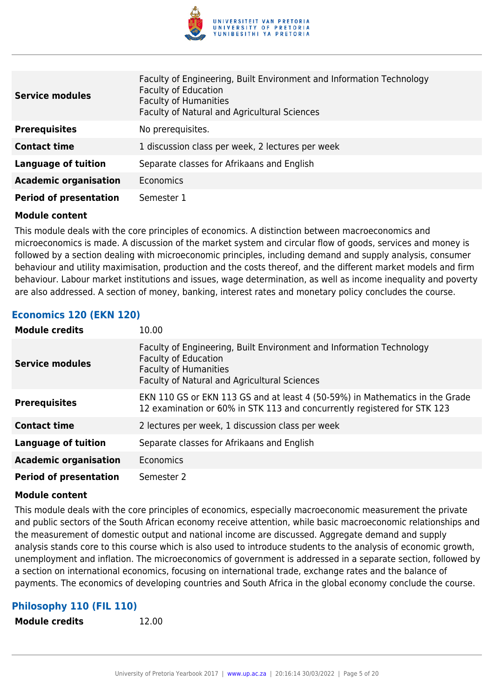

| <b>Service modules</b>        | Faculty of Engineering, Built Environment and Information Technology<br><b>Faculty of Education</b><br><b>Faculty of Humanities</b><br>Faculty of Natural and Agricultural Sciences |
|-------------------------------|-------------------------------------------------------------------------------------------------------------------------------------------------------------------------------------|
| <b>Prerequisites</b>          | No prerequisites.                                                                                                                                                                   |
| <b>Contact time</b>           | 1 discussion class per week, 2 lectures per week                                                                                                                                    |
| <b>Language of tuition</b>    | Separate classes for Afrikaans and English                                                                                                                                          |
| <b>Academic organisation</b>  | <b>Economics</b>                                                                                                                                                                    |
| <b>Period of presentation</b> | Semester 1                                                                                                                                                                          |

This module deals with the core principles of economics. A distinction between macroeconomics and microeconomics is made. A discussion of the market system and circular flow of goods, services and money is followed by a section dealing with microeconomic principles, including demand and supply analysis, consumer behaviour and utility maximisation, production and the costs thereof, and the different market models and firm behaviour. Labour market institutions and issues, wage determination, as well as income inequality and poverty are also addressed. A section of money, banking, interest rates and monetary policy concludes the course.

## **Economics 120 (EKN 120)**

| <b>Module credits</b>         | 10.00                                                                                                                                                                               |
|-------------------------------|-------------------------------------------------------------------------------------------------------------------------------------------------------------------------------------|
| <b>Service modules</b>        | Faculty of Engineering, Built Environment and Information Technology<br><b>Faculty of Education</b><br><b>Faculty of Humanities</b><br>Faculty of Natural and Agricultural Sciences |
| <b>Prerequisites</b>          | EKN 110 GS or EKN 113 GS and at least 4 (50-59%) in Mathematics in the Grade<br>12 examination or 60% in STK 113 and concurrently registered for STK 123                            |
| <b>Contact time</b>           | 2 lectures per week, 1 discussion class per week                                                                                                                                    |
| <b>Language of tuition</b>    | Separate classes for Afrikaans and English                                                                                                                                          |
| <b>Academic organisation</b>  | Economics                                                                                                                                                                           |
| <b>Period of presentation</b> | Semester 2                                                                                                                                                                          |

#### **Module content**

This module deals with the core principles of economics, especially macroeconomic measurement the private and public sectors of the South African economy receive attention, while basic macroeconomic relationships and the measurement of domestic output and national income are discussed. Aggregate demand and supply analysis stands core to this course which is also used to introduce students to the analysis of economic growth, unemployment and inflation. The microeconomics of government is addressed in a separate section, followed by a section on international economics, focusing on international trade, exchange rates and the balance of payments. The economics of developing countries and South Africa in the global economy conclude the course.

## **Philosophy 110 (FIL 110)**

**Module credits** 12.00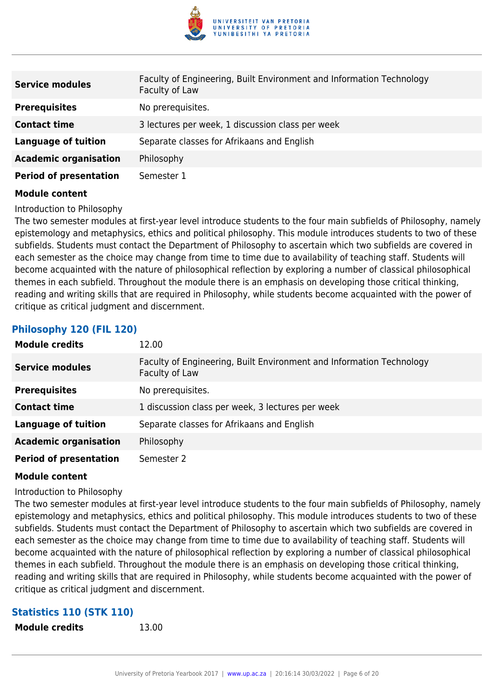

| <b>Service modules</b>        | Faculty of Engineering, Built Environment and Information Technology<br>Faculty of Law |
|-------------------------------|----------------------------------------------------------------------------------------|
| <b>Prerequisites</b>          | No prerequisites.                                                                      |
| <b>Contact time</b>           | 3 lectures per week, 1 discussion class per week                                       |
| <b>Language of tuition</b>    | Separate classes for Afrikaans and English                                             |
| <b>Academic organisation</b>  | Philosophy                                                                             |
| <b>Period of presentation</b> | Semester 1                                                                             |

Introduction to Philosophy

The two semester modules at first-year level introduce students to the four main subfields of Philosophy, namely epistemology and metaphysics, ethics and political philosophy. This module introduces students to two of these subfields. Students must contact the Department of Philosophy to ascertain which two subfields are covered in each semester as the choice may change from time to time due to availability of teaching staff. Students will become acquainted with the nature of philosophical reflection by exploring a number of classical philosophical themes in each subfield. Throughout the module there is an emphasis on developing those critical thinking, reading and writing skills that are required in Philosophy, while students become acquainted with the power of critique as critical judgment and discernment.

## **Philosophy 120 (FIL 120)**

| <b>Module credits</b>         | 12.00                                                                                  |
|-------------------------------|----------------------------------------------------------------------------------------|
| <b>Service modules</b>        | Faculty of Engineering, Built Environment and Information Technology<br>Faculty of Law |
| <b>Prerequisites</b>          | No prerequisites.                                                                      |
| <b>Contact time</b>           | 1 discussion class per week, 3 lectures per week                                       |
| <b>Language of tuition</b>    | Separate classes for Afrikaans and English                                             |
| <b>Academic organisation</b>  | Philosophy                                                                             |
| <b>Period of presentation</b> | Semester 2                                                                             |

#### **Module content**

Introduction to Philosophy

The two semester modules at first-year level introduce students to the four main subfields of Philosophy, namely epistemology and metaphysics, ethics and political philosophy. This module introduces students to two of these subfields. Students must contact the Department of Philosophy to ascertain which two subfields are covered in each semester as the choice may change from time to time due to availability of teaching staff. Students will become acquainted with the nature of philosophical reflection by exploring a number of classical philosophical themes in each subfield. Throughout the module there is an emphasis on developing those critical thinking, reading and writing skills that are required in Philosophy, while students become acquainted with the power of critique as critical judgment and discernment.

## **Statistics 110 (STK 110)**

**Module credits** 13.00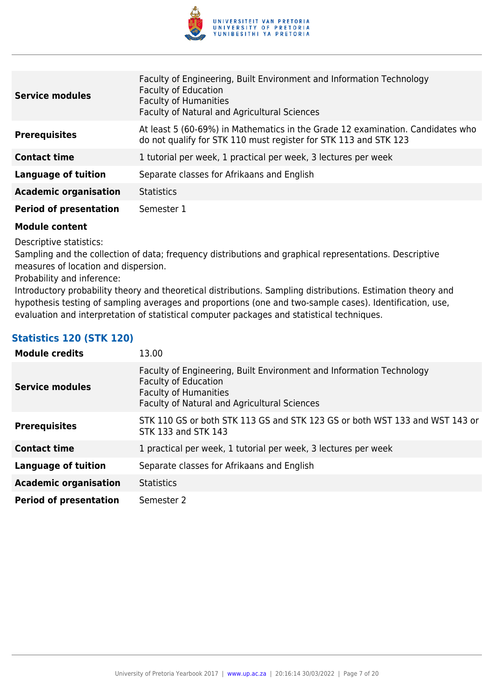

| <b>Service modules</b>        | Faculty of Engineering, Built Environment and Information Technology<br><b>Faculty of Education</b><br><b>Faculty of Humanities</b><br>Faculty of Natural and Agricultural Sciences |
|-------------------------------|-------------------------------------------------------------------------------------------------------------------------------------------------------------------------------------|
| <b>Prerequisites</b>          | At least 5 (60-69%) in Mathematics in the Grade 12 examination. Candidates who<br>do not qualify for STK 110 must register for STK 113 and STK 123                                  |
| <b>Contact time</b>           | 1 tutorial per week, 1 practical per week, 3 lectures per week                                                                                                                      |
| <b>Language of tuition</b>    | Separate classes for Afrikaans and English                                                                                                                                          |
| <b>Academic organisation</b>  | <b>Statistics</b>                                                                                                                                                                   |
| <b>Period of presentation</b> | Semester 1                                                                                                                                                                          |

Descriptive statistics:

Sampling and the collection of data; frequency distributions and graphical representations. Descriptive measures of location and dispersion.

Probability and inference:

Introductory probability theory and theoretical distributions. Sampling distributions. Estimation theory and hypothesis testing of sampling averages and proportions (one and two-sample cases). Identification, use, evaluation and interpretation of statistical computer packages and statistical techniques.

## **Statistics 120 (STK 120)**

| <b>Module credits</b>         | 13.00                                                                                                                                                                               |
|-------------------------------|-------------------------------------------------------------------------------------------------------------------------------------------------------------------------------------|
| <b>Service modules</b>        | Faculty of Engineering, Built Environment and Information Technology<br><b>Faculty of Education</b><br><b>Faculty of Humanities</b><br>Faculty of Natural and Agricultural Sciences |
| <b>Prerequisites</b>          | STK 110 GS or both STK 113 GS and STK 123 GS or both WST 133 and WST 143 or<br>STK 133 and STK 143                                                                                  |
| <b>Contact time</b>           | 1 practical per week, 1 tutorial per week, 3 lectures per week                                                                                                                      |
| <b>Language of tuition</b>    | Separate classes for Afrikaans and English                                                                                                                                          |
| <b>Academic organisation</b>  | <b>Statistics</b>                                                                                                                                                                   |
| <b>Period of presentation</b> | Semester 2                                                                                                                                                                          |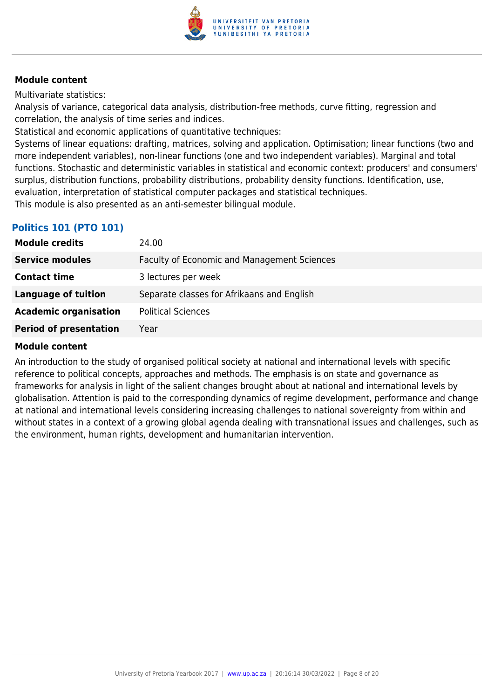

Multivariate statistics:

Analysis of variance, categorical data analysis, distribution-free methods, curve fitting, regression and correlation, the analysis of time series and indices.

Statistical and economic applications of quantitative techniques:

Systems of linear equations: drafting, matrices, solving and application. Optimisation; linear functions (two and more independent variables), non-linear functions (one and two independent variables). Marginal and total functions. Stochastic and deterministic variables in statistical and economic context: producers' and consumers' surplus, distribution functions, probability distributions, probability density functions. Identification, use, evaluation, interpretation of statistical computer packages and statistical techniques.

This module is also presented as an anti-semester bilingual module.

## **Politics 101 (PTO 101)**

| <b>Module credits</b>         | 24.00                                       |
|-------------------------------|---------------------------------------------|
| <b>Service modules</b>        | Faculty of Economic and Management Sciences |
| <b>Contact time</b>           | 3 lectures per week                         |
| Language of tuition           | Separate classes for Afrikaans and English  |
| <b>Academic organisation</b>  | <b>Political Sciences</b>                   |
| <b>Period of presentation</b> | Year                                        |

## **Module content**

An introduction to the study of organised political society at national and international levels with specific reference to political concepts, approaches and methods. The emphasis is on state and governance as frameworks for analysis in light of the salient changes brought about at national and international levels by globalisation. Attention is paid to the corresponding dynamics of regime development, performance and change at national and international levels considering increasing challenges to national sovereignty from within and without states in a context of a growing global agenda dealing with transnational issues and challenges, such as the environment, human rights, development and humanitarian intervention.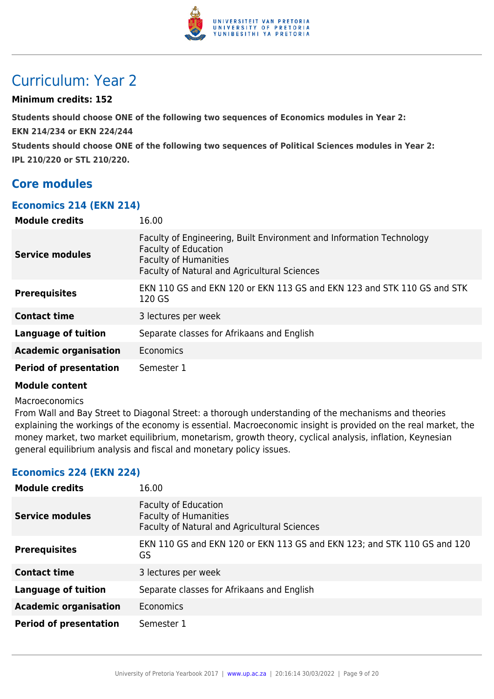

## Curriculum: Year 2

## **Minimum credits: 152**

**Students should choose ONE of the following two sequences of Economics modules in Year 2:** 

**EKN 214/234 or EKN 224/244**

**Students should choose ONE of the following two sequences of Political Sciences modules in Year 2: IPL 210/220 or STL 210/220.**

## **Core modules**

## **Economics 214 (EKN 214)**

| <b>Module credits</b>         | 16.00                                                                                                                                                                               |
|-------------------------------|-------------------------------------------------------------------------------------------------------------------------------------------------------------------------------------|
| <b>Service modules</b>        | Faculty of Engineering, Built Environment and Information Technology<br><b>Faculty of Education</b><br><b>Faculty of Humanities</b><br>Faculty of Natural and Agricultural Sciences |
| <b>Prerequisites</b>          | EKN 110 GS and EKN 120 or EKN 113 GS and EKN 123 and STK 110 GS and STK<br>120 GS                                                                                                   |
| <b>Contact time</b>           | 3 lectures per week                                                                                                                                                                 |
| <b>Language of tuition</b>    | Separate classes for Afrikaans and English                                                                                                                                          |
| <b>Academic organisation</b>  | Economics                                                                                                                                                                           |
| <b>Period of presentation</b> | Semester 1                                                                                                                                                                          |

## **Module content**

#### Macroeconomics

From Wall and Bay Street to Diagonal Street: a thorough understanding of the mechanisms and theories explaining the workings of the economy is essential. Macroeconomic insight is provided on the real market, the money market, two market equilibrium, monetarism, growth theory, cyclical analysis, inflation, Keynesian general equilibrium analysis and fiscal and monetary policy issues.

## **Economics 224 (EKN 224)**

| <b>Module credits</b>         | 16.00                                                                                                       |
|-------------------------------|-------------------------------------------------------------------------------------------------------------|
| Service modules               | <b>Faculty of Education</b><br><b>Faculty of Humanities</b><br>Faculty of Natural and Agricultural Sciences |
| <b>Prerequisites</b>          | EKN 110 GS and EKN 120 or EKN 113 GS and EKN 123; and STK 110 GS and 120<br>GS                              |
| <b>Contact time</b>           | 3 lectures per week                                                                                         |
| <b>Language of tuition</b>    | Separate classes for Afrikaans and English                                                                  |
| <b>Academic organisation</b>  | Economics                                                                                                   |
| <b>Period of presentation</b> | Semester 1                                                                                                  |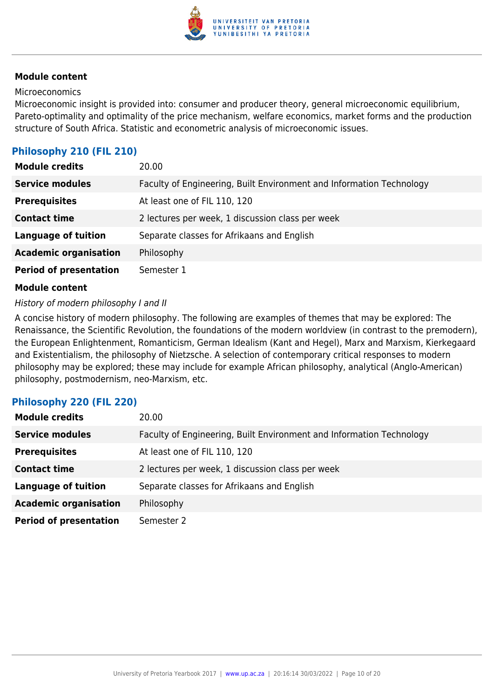

#### Microeconomics

Microeconomic insight is provided into: consumer and producer theory, general microeconomic equilibrium, Pareto-optimality and optimality of the price mechanism, welfare economics, market forms and the production structure of South Africa. Statistic and econometric analysis of microeconomic issues.

## **Philosophy 210 (FIL 210)**

| <b>Module credits</b>         | 20.00                                                                |
|-------------------------------|----------------------------------------------------------------------|
| <b>Service modules</b>        | Faculty of Engineering, Built Environment and Information Technology |
| <b>Prerequisites</b>          | At least one of FIL 110, 120                                         |
| <b>Contact time</b>           | 2 lectures per week, 1 discussion class per week                     |
| <b>Language of tuition</b>    | Separate classes for Afrikaans and English                           |
| <b>Academic organisation</b>  | Philosophy                                                           |
| <b>Period of presentation</b> | Semester 1                                                           |

### **Module content**

#### History of modern philosophy I and II

A concise history of modern philosophy. The following are examples of themes that may be explored: The Renaissance, the Scientific Revolution, the foundations of the modern worldview (in contrast to the premodern), the European Enlightenment, Romanticism, German Idealism (Kant and Hegel), Marx and Marxism, Kierkegaard and Existentialism, the philosophy of Nietzsche. A selection of contemporary critical responses to modern philosophy may be explored; these may include for example African philosophy, analytical (Anglo-American) philosophy, postmodernism, neo-Marxism, etc.

## **Philosophy 220 (FIL 220)**

| <b>Module credits</b>         | 20.00                                                                |
|-------------------------------|----------------------------------------------------------------------|
| <b>Service modules</b>        | Faculty of Engineering, Built Environment and Information Technology |
| <b>Prerequisites</b>          | At least one of FIL 110, 120                                         |
| <b>Contact time</b>           | 2 lectures per week, 1 discussion class per week                     |
| <b>Language of tuition</b>    | Separate classes for Afrikaans and English                           |
| <b>Academic organisation</b>  | Philosophy                                                           |
| <b>Period of presentation</b> | Semester 2                                                           |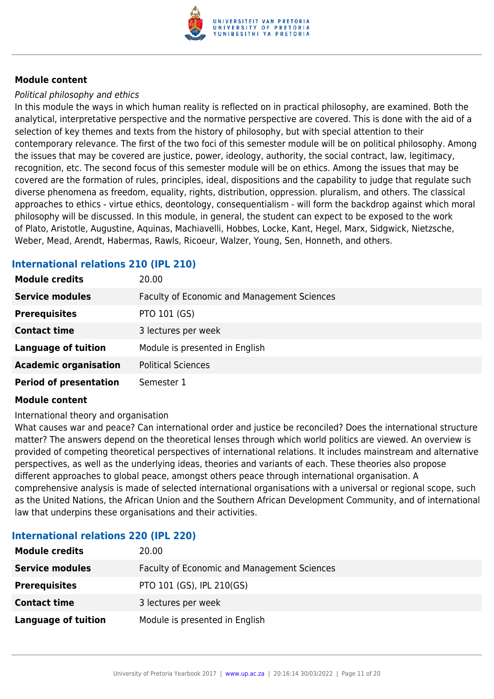

#### Political philosophy and ethics

In this module the ways in which human reality is reflected on in practical philosophy, are examined. Both the analytical, interpretative perspective and the normative perspective are covered. This is done with the aid of a selection of key themes and texts from the history of philosophy, but with special attention to their contemporary relevance. The first of the two foci of this semester module will be on political philosophy. Among the issues that may be covered are justice, power, ideology, authority, the social contract, law, legitimacy, recognition, etc. The second focus of this semester module will be on ethics. Among the issues that may be covered are the formation of rules, principles, ideal, dispositions and the capability to judge that regulate such diverse phenomena as freedom, equality, rights, distribution, oppression. pluralism, and others. The classical approaches to ethics - virtue ethics, deontology, consequentialism - will form the backdrop against which moral philosophy will be discussed. In this module, in general, the student can expect to be exposed to the work of Plato, Aristotle, Augustine, Aquinas, Machiavelli, Hobbes, Locke, Kant, Hegel, Marx, Sidgwick, Nietzsche, Weber, Mead, Arendt, Habermas, Rawls, Ricoeur, Walzer, Young, Sen, Honneth, and others.

## **International relations 210 (IPL 210)**

| <b>Module credits</b>         | 20.00                                              |
|-------------------------------|----------------------------------------------------|
| <b>Service modules</b>        | <b>Faculty of Economic and Management Sciences</b> |
| <b>Prerequisites</b>          | PTO 101 (GS)                                       |
| <b>Contact time</b>           | 3 lectures per week                                |
| <b>Language of tuition</b>    | Module is presented in English                     |
| <b>Academic organisation</b>  | <b>Political Sciences</b>                          |
| <b>Period of presentation</b> | Semester 1                                         |

#### **Module content**

International theory and organisation

What causes war and peace? Can international order and justice be reconciled? Does the international structure matter? The answers depend on the theoretical lenses through which world politics are viewed. An overview is provided of competing theoretical perspectives of international relations. It includes mainstream and alternative perspectives, as well as the underlying ideas, theories and variants of each. These theories also propose different approaches to global peace, amongst others peace through international organisation. A comprehensive analysis is made of selected international organisations with a universal or regional scope, such as the United Nations, the African Union and the Southern African Development Community, and of international law that underpins these organisations and their activities.

## **Module credits** 20.00 **Service modules** Faculty of Economic and Management Sciences **Prerequisites** PTO 101 (GS), IPL 210(GS) **Contact time** 3 lectures per week

## **International relations 220 (IPL 220)**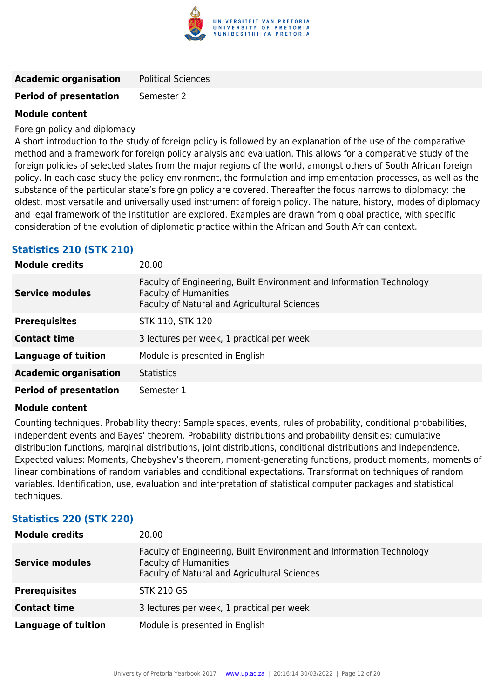

| <b>Academic organisation</b> | <b>Political Sciences</b> |
|------------------------------|---------------------------|
|------------------------------|---------------------------|

## **Period of presentation** Semester 2

## **Module content**

Foreign policy and diplomacy

A short introduction to the study of foreign policy is followed by an explanation of the use of the comparative method and a framework for foreign policy analysis and evaluation. This allows for a comparative study of the foreign policies of selected states from the major regions of the world, amongst others of South African foreign policy. In each case study the policy environment, the formulation and implementation processes, as well as the substance of the particular state's foreign policy are covered. Thereafter the focus narrows to diplomacy: the oldest, most versatile and universally used instrument of foreign policy. The nature, history, modes of diplomacy and legal framework of the institution are explored. Examples are drawn from global practice, with specific consideration of the evolution of diplomatic practice within the African and South African context.

## **Statistics 210 (STK 210)**

| <b>Module credits</b>         | 20.00                                                                                                                                                |
|-------------------------------|------------------------------------------------------------------------------------------------------------------------------------------------------|
| <b>Service modules</b>        | Faculty of Engineering, Built Environment and Information Technology<br><b>Faculty of Humanities</b><br>Faculty of Natural and Agricultural Sciences |
| <b>Prerequisites</b>          | <b>STK 110, STK 120</b>                                                                                                                              |
| <b>Contact time</b>           | 3 lectures per week, 1 practical per week                                                                                                            |
| <b>Language of tuition</b>    | Module is presented in English                                                                                                                       |
| <b>Academic organisation</b>  | <b>Statistics</b>                                                                                                                                    |
| <b>Period of presentation</b> | Semester 1                                                                                                                                           |

#### **Module content**

Counting techniques. Probability theory: Sample spaces, events, rules of probability, conditional probabilities, independent events and Bayes' theorem. Probability distributions and probability densities: cumulative distribution functions, marginal distributions, joint distributions, conditional distributions and independence. Expected values: Moments, Chebyshev's theorem, moment-generating functions, product moments, moments of linear combinations of random variables and conditional expectations. Transformation techniques of random variables. Identification, use, evaluation and interpretation of statistical computer packages and statistical techniques.

## **Statistics 220 (STK 220)**

| <b>Module credits</b>      | 20.00                                                                                                                                                |
|----------------------------|------------------------------------------------------------------------------------------------------------------------------------------------------|
| <b>Service modules</b>     | Faculty of Engineering, Built Environment and Information Technology<br><b>Faculty of Humanities</b><br>Faculty of Natural and Agricultural Sciences |
| <b>Prerequisites</b>       | <b>STK 210 GS</b>                                                                                                                                    |
| <b>Contact time</b>        | 3 lectures per week, 1 practical per week                                                                                                            |
| <b>Language of tuition</b> | Module is presented in English                                                                                                                       |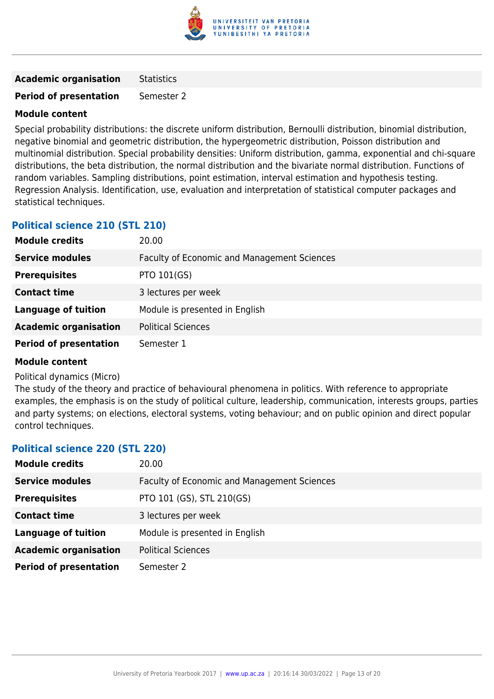

**Academic organisation** Statistics

**Period of presentation** Semester 2

## **Module content**

Special probability distributions: the discrete uniform distribution, Bernoulli distribution, binomial distribution, negative binomial and geometric distribution, the hypergeometric distribution, Poisson distribution and multinomial distribution. Special probability densities: Uniform distribution, gamma, exponential and chi-square distributions, the beta distribution, the normal distribution and the bivariate normal distribution. Functions of random variables. Sampling distributions, point estimation, interval estimation and hypothesis testing. Regression Analysis. Identification, use, evaluation and interpretation of statistical computer packages and statistical techniques.

## **Political science 210 (STL 210)**

| <b>Module credits</b>         | 20.00                                              |
|-------------------------------|----------------------------------------------------|
| <b>Service modules</b>        | <b>Faculty of Economic and Management Sciences</b> |
| <b>Prerequisites</b>          | <b>PTO 101(GS)</b>                                 |
| <b>Contact time</b>           | 3 lectures per week                                |
| <b>Language of tuition</b>    | Module is presented in English                     |
| <b>Academic organisation</b>  | <b>Political Sciences</b>                          |
| <b>Period of presentation</b> | Semester 1                                         |

## **Module content**

#### Political dynamics (Micro)

The study of the theory and practice of behavioural phenomena in politics. With reference to appropriate examples, the emphasis is on the study of political culture, leadership, communication, interests groups, parties and party systems; on elections, electoral systems, voting behaviour; and on public opinion and direct popular control techniques.

## **Political science 220 (STL 220)**

| <b>Module credits</b>         | 20.00                                       |
|-------------------------------|---------------------------------------------|
| <b>Service modules</b>        | Faculty of Economic and Management Sciences |
| <b>Prerequisites</b>          | PTO 101 (GS), STL 210(GS)                   |
| <b>Contact time</b>           | 3 lectures per week                         |
| <b>Language of tuition</b>    | Module is presented in English              |
| <b>Academic organisation</b>  | <b>Political Sciences</b>                   |
| <b>Period of presentation</b> | Semester 2                                  |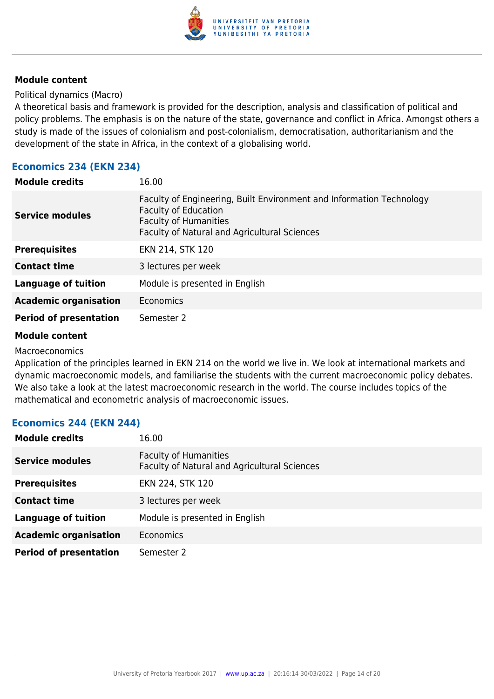

Political dynamics (Macro)

A theoretical basis and framework is provided for the description, analysis and classification of political and policy problems. The emphasis is on the nature of the state, governance and conflict in Africa. Amongst others a study is made of the issues of colonialism and post-colonialism, democratisation, authoritarianism and the development of the state in Africa, in the context of a globalising world.

## **Economics 234 (EKN 234)**

| <b>Module credits</b>         | 16.00                                                                                                                                                                               |
|-------------------------------|-------------------------------------------------------------------------------------------------------------------------------------------------------------------------------------|
| <b>Service modules</b>        | Faculty of Engineering, Built Environment and Information Technology<br><b>Faculty of Education</b><br><b>Faculty of Humanities</b><br>Faculty of Natural and Agricultural Sciences |
| <b>Prerequisites</b>          | EKN 214, STK 120                                                                                                                                                                    |
| <b>Contact time</b>           | 3 lectures per week                                                                                                                                                                 |
| <b>Language of tuition</b>    | Module is presented in English                                                                                                                                                      |
| <b>Academic organisation</b>  | Economics                                                                                                                                                                           |
| <b>Period of presentation</b> | Semester 2                                                                                                                                                                          |

#### **Module content**

Macroeconomics

Application of the principles learned in EKN 214 on the world we live in. We look at international markets and dynamic macroeconomic models, and familiarise the students with the current macroeconomic policy debates. We also take a look at the latest macroeconomic research in the world. The course includes topics of the mathematical and econometric analysis of macroeconomic issues.

## **Economics 244 (EKN 244)**

| <b>Module credits</b>         | 16.00                                                                        |
|-------------------------------|------------------------------------------------------------------------------|
| <b>Service modules</b>        | <b>Faculty of Humanities</b><br>Faculty of Natural and Agricultural Sciences |
| <b>Prerequisites</b>          | EKN 224, STK 120                                                             |
| <b>Contact time</b>           | 3 lectures per week                                                          |
| <b>Language of tuition</b>    | Module is presented in English                                               |
| <b>Academic organisation</b>  | <b>Economics</b>                                                             |
| <b>Period of presentation</b> | Semester 2                                                                   |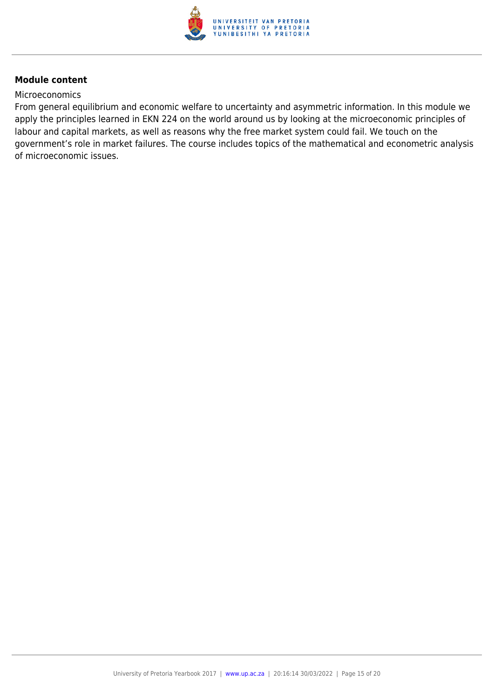

#### **Microeconomics**

From general equilibrium and economic welfare to uncertainty and asymmetric information. In this module we apply the principles learned in EKN 224 on the world around us by looking at the microeconomic principles of labour and capital markets, as well as reasons why the free market system could fail. We touch on the government's role in market failures. The course includes topics of the mathematical and econometric analysis of microeconomic issues.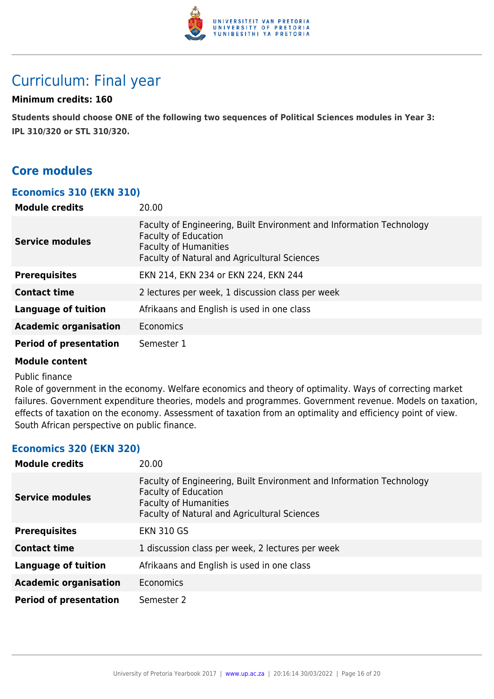

## Curriculum: Final year

## **Minimum credits: 160**

**Students should choose ONE of the following two sequences of Political Sciences modules in Year 3: IPL 310/320 or STL 310/320.**

## **Core modules**

## **Economics 310 (EKN 310)**

| <b>Module credits</b>         | 20.00                                                                                                                                                                               |
|-------------------------------|-------------------------------------------------------------------------------------------------------------------------------------------------------------------------------------|
| Service modules               | Faculty of Engineering, Built Environment and Information Technology<br><b>Faculty of Education</b><br><b>Faculty of Humanities</b><br>Faculty of Natural and Agricultural Sciences |
| <b>Prerequisites</b>          | EKN 214, EKN 234 or EKN 224, EKN 244                                                                                                                                                |
| <b>Contact time</b>           | 2 lectures per week, 1 discussion class per week                                                                                                                                    |
| <b>Language of tuition</b>    | Afrikaans and English is used in one class                                                                                                                                          |
| <b>Academic organisation</b>  | Economics                                                                                                                                                                           |
| <b>Period of presentation</b> | Semester 1                                                                                                                                                                          |

#### **Module content**

#### Public finance

Role of government in the economy. Welfare economics and theory of optimality. Ways of correcting market failures. Government expenditure theories, models and programmes. Government revenue. Models on taxation, effects of taxation on the economy. Assessment of taxation from an optimality and efficiency point of view. South African perspective on public finance.

## **Economics 320 (EKN 320)**

| <b>Module credits</b>         | 20.00                                                                                                                                                                               |
|-------------------------------|-------------------------------------------------------------------------------------------------------------------------------------------------------------------------------------|
| <b>Service modules</b>        | Faculty of Engineering, Built Environment and Information Technology<br><b>Faculty of Education</b><br><b>Faculty of Humanities</b><br>Faculty of Natural and Agricultural Sciences |
| <b>Prerequisites</b>          | <b>EKN 310 GS</b>                                                                                                                                                                   |
| <b>Contact time</b>           | 1 discussion class per week, 2 lectures per week                                                                                                                                    |
| <b>Language of tuition</b>    | Afrikaans and English is used in one class                                                                                                                                          |
| <b>Academic organisation</b>  | Economics                                                                                                                                                                           |
| <b>Period of presentation</b> | Semester 2                                                                                                                                                                          |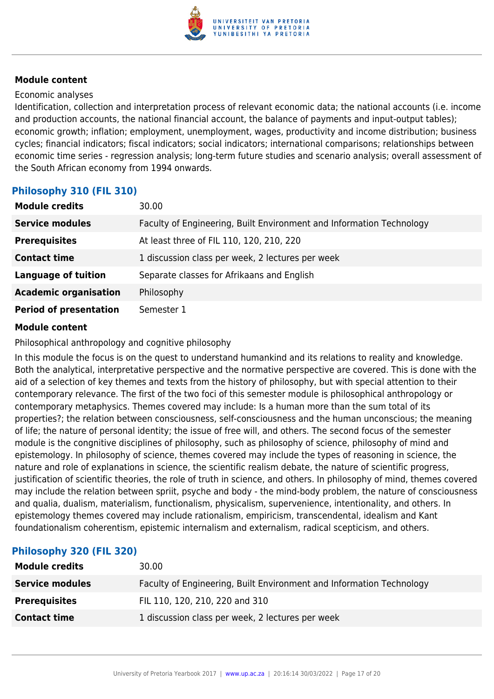

### Economic analyses

Identification, collection and interpretation process of relevant economic data; the national accounts (i.e. income and production accounts, the national financial account, the balance of payments and input-output tables); economic growth; inflation; employment, unemployment, wages, productivity and income distribution; business cycles; financial indicators; fiscal indicators; social indicators; international comparisons; relationships between economic time series - regression analysis; long-term future studies and scenario analysis; overall assessment of the South African economy from 1994 onwards.

## **Philosophy 310 (FIL 310)**

| <b>Module credits</b>         | 30.00                                                                |
|-------------------------------|----------------------------------------------------------------------|
| <b>Service modules</b>        | Faculty of Engineering, Built Environment and Information Technology |
| <b>Prerequisites</b>          | At least three of FIL 110, 120, 210, 220                             |
| <b>Contact time</b>           | 1 discussion class per week, 2 lectures per week                     |
| <b>Language of tuition</b>    | Separate classes for Afrikaans and English                           |
| <b>Academic organisation</b>  | Philosophy                                                           |
| <b>Period of presentation</b> | Semester 1                                                           |

## **Module content**

Philosophical anthropology and cognitive philosophy

In this module the focus is on the quest to understand humankind and its relations to reality and knowledge. Both the analytical, interpretative perspective and the normative perspective are covered. This is done with the aid of a selection of key themes and texts from the history of philosophy, but with special attention to their contemporary relevance. The first of the two foci of this semester module is philosophical anthropology or contemporary metaphysics. Themes covered may include: Is a human more than the sum total of its properties?; the relation between consciousness, self-consciousness and the human unconscious; the meaning of life; the nature of personal identity; the issue of free will, and others. The second focus of the semester module is the congnitive disciplines of philosophy, such as philosophy of science, philosophy of mind and epistemology. In philosophy of science, themes covered may include the types of reasoning in science, the nature and role of explanations in science, the scientific realism debate, the nature of scientific progress, justification of scientific theories, the role of truth in science, and others. In philosophy of mind, themes covered may include the relation between spriit, psyche and body - the mind-body problem, the nature of consciousness and qualia, dualism, materialism, functionalism, physicalism, supervenience, intentionality, and others. In epistemology themes covered may include rationalism, empiricism, transcendental, idealism and Kant foundationalism coherentism, epistemic internalism and externalism, radical scepticism, and others.

## **Philosophy 320 (FIL 320)**

| <b>Module credits</b>  | 30.00                                                                |
|------------------------|----------------------------------------------------------------------|
| <b>Service modules</b> | Faculty of Engineering, Built Environment and Information Technology |
| <b>Prerequisites</b>   | FIL 110, 120, 210, 220 and 310                                       |
| <b>Contact time</b>    | 1 discussion class per week, 2 lectures per week                     |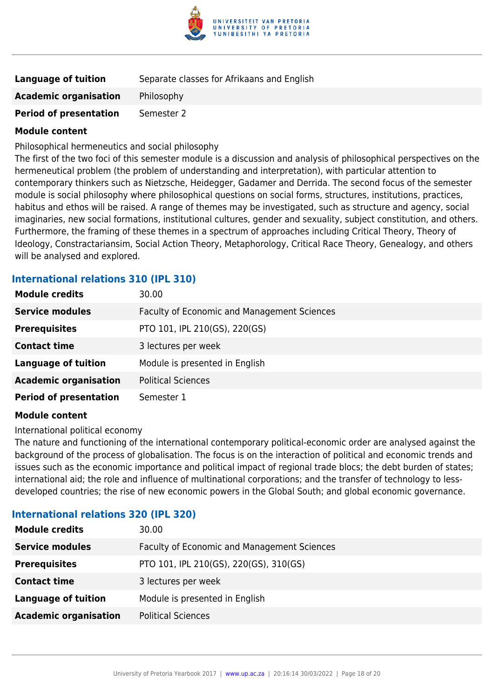

| Language of tuition           | Separate classes for Afrikaans and English |
|-------------------------------|--------------------------------------------|
| <b>Academic organisation</b>  | Philosophy                                 |
| <b>Period of presentation</b> | Semester 2                                 |

Philosophical hermeneutics and social philosophy

The first of the two foci of this semester module is a discussion and analysis of philosophical perspectives on the hermeneutical problem (the problem of understanding and interpretation), with particular attention to contemporary thinkers such as Nietzsche, Heidegger, Gadamer and Derrida. The second focus of the semester module is social philosophy where philosophical questions on social forms, structures, institutions, practices, habitus and ethos will be raised. A range of themes may be investigated, such as structure and agency, social imaginaries, new social formations, institutional cultures, gender and sexuality, subject constitution, and others. Furthermore, the framing of these themes in a spectrum of approaches including Critical Theory, Theory of Ideology, Constractariansim, Social Action Theory, Metaphorology, Critical Race Theory, Genealogy, and others will be analysed and explored.

## **International relations 310 (IPL 310)**

| <b>Module credits</b>         | 30.00                                       |
|-------------------------------|---------------------------------------------|
| <b>Service modules</b>        | Faculty of Economic and Management Sciences |
| <b>Prerequisites</b>          | PTO 101, IPL 210(GS), 220(GS)               |
| <b>Contact time</b>           | 3 lectures per week                         |
| <b>Language of tuition</b>    | Module is presented in English              |
| <b>Academic organisation</b>  | <b>Political Sciences</b>                   |
| <b>Period of presentation</b> | Semester 1                                  |

#### **Module content**

International political economy

The nature and functioning of the international contemporary political-economic order are analysed against the background of the process of globalisation. The focus is on the interaction of political and economic trends and issues such as the economic importance and political impact of regional trade blocs; the debt burden of states; international aid; the role and influence of multinational corporations; and the transfer of technology to lessdeveloped countries; the rise of new economic powers in the Global South; and global economic governance.

## **International relations 320 (IPL 320)**

| <b>Module credits</b>        | 30.00                                       |
|------------------------------|---------------------------------------------|
| <b>Service modules</b>       | Faculty of Economic and Management Sciences |
| <b>Prerequisites</b>         | PTO 101, IPL 210(GS), 220(GS), 310(GS)      |
| <b>Contact time</b>          | 3 lectures per week                         |
| <b>Language of tuition</b>   | Module is presented in English              |
| <b>Academic organisation</b> | <b>Political Sciences</b>                   |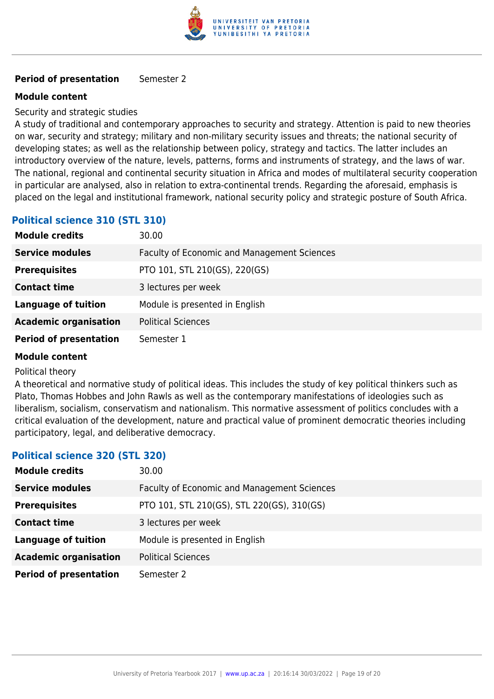

## **Period of presentation** Semester 2

## **Module content**

### Security and strategic studies

A study of traditional and contemporary approaches to security and strategy. Attention is paid to new theories on war, security and strategy; military and non-military security issues and threats; the national security of developing states; as well as the relationship between policy, strategy and tactics. The latter includes an introductory overview of the nature, levels, patterns, forms and instruments of strategy, and the laws of war. The national, regional and continental security situation in Africa and modes of multilateral security cooperation in particular are analysed, also in relation to extra-continental trends. Regarding the aforesaid, emphasis is placed on the legal and institutional framework, national security policy and strategic posture of South Africa.

## **Political science 310 (STL 310)**

| <b>Module credits</b>         | 30.00                                              |
|-------------------------------|----------------------------------------------------|
| <b>Service modules</b>        | <b>Faculty of Economic and Management Sciences</b> |
| <b>Prerequisites</b>          | PTO 101, STL 210(GS), 220(GS)                      |
| <b>Contact time</b>           | 3 lectures per week                                |
| <b>Language of tuition</b>    | Module is presented in English                     |
| <b>Academic organisation</b>  | <b>Political Sciences</b>                          |
| <b>Period of presentation</b> | Semester 1                                         |

#### **Module content**

#### Political theory

A theoretical and normative study of political ideas. This includes the study of key political thinkers such as Plato, Thomas Hobbes and John Rawls as well as the contemporary manifestations of ideologies such as liberalism, socialism, conservatism and nationalism. This normative assessment of politics concludes with a critical evaluation of the development, nature and practical value of prominent democratic theories including participatory, legal, and deliberative democracy.

## **Political science 320 (STL 320)**

| <b>Module credits</b>         | 30.00                                              |
|-------------------------------|----------------------------------------------------|
| <b>Service modules</b>        | <b>Faculty of Economic and Management Sciences</b> |
| <b>Prerequisites</b>          | PTO 101, STL 210(GS), STL 220(GS), 310(GS)         |
| <b>Contact time</b>           | 3 lectures per week                                |
| <b>Language of tuition</b>    | Module is presented in English                     |
| <b>Academic organisation</b>  | <b>Political Sciences</b>                          |
| <b>Period of presentation</b> | Semester 2                                         |